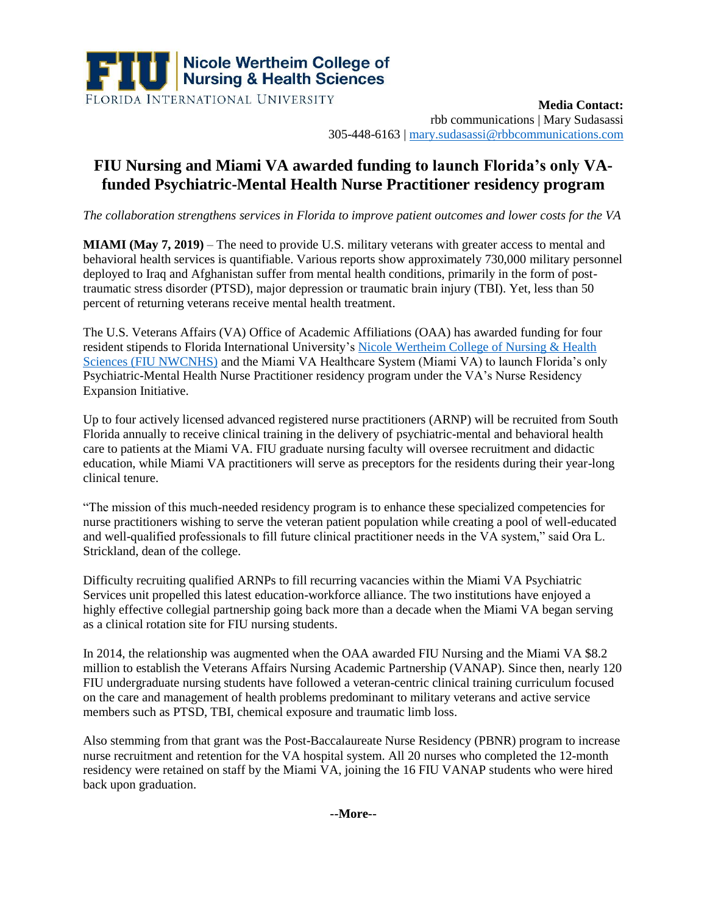

**Media Contact:**  rbb communications | Mary Sudasassi 305-448-6163 | [mary.sudasassi@rbbcommunications.com](mailto:mary.sudasassi@rbbcommunications.com)

## **FIU Nursing and Miami VA awarded funding to launch Florida's only VAfunded Psychiatric-Mental Health Nurse Practitioner residency program**

*The collaboration strengthens services in Florida to improve patient outcomes and lower costs for the VA*

**MIAMI (May 7, 2019)** – The need to provide U.S. military veterans with greater access to mental and behavioral health services is quantifiable. Various reports show approximately 730,000 military personnel deployed to Iraq and Afghanistan suffer from mental health conditions, primarily in the form of posttraumatic stress disorder (PTSD), major depression or traumatic brain injury (TBI). Yet, less than 50 percent of returning veterans receive mental health treatment.

The U.S. Veterans Affairs (VA) Office of Academic Affiliations (OAA) has awarded funding for four resident stipends to Florida International University's [Nicole Wertheim College of Nursing & Health](file://///rbbpr.com/shared/Documents/rbb_Clients/Clients/FIU%20CNHS/2019/Media%20Materials/Press%20Releases/cnhs.fiu.edu)  [Sciences \(FIU NWCNHS\)](file://///rbbpr.com/shared/Documents/rbb_Clients/Clients/FIU%20CNHS/2019/Media%20Materials/Press%20Releases/cnhs.fiu.edu) and the Miami VA Healthcare System (Miami VA) to launch Florida's only Psychiatric-Mental Health Nurse Practitioner residency program under the VA's Nurse Residency Expansion Initiative.

Up to four actively licensed advanced registered nurse practitioners (ARNP) will be recruited from South Florida annually to receive clinical training in the delivery of psychiatric-mental and behavioral health care to patients at the Miami VA. FIU graduate nursing faculty will oversee recruitment and didactic education, while Miami VA practitioners will serve as preceptors for the residents during their year-long clinical tenure.

"The mission of this much-needed residency program is to enhance these specialized competencies for nurse practitioners wishing to serve the veteran patient population while creating a pool of well-educated and well-qualified professionals to fill future clinical practitioner needs in the VA system," said Ora L. Strickland, dean of the college.

Difficulty recruiting qualified ARNPs to fill recurring vacancies within the Miami VA Psychiatric Services unit propelled this latest education-workforce alliance. The two institutions have enjoyed a highly effective collegial partnership going back more than a decade when the Miami VA began serving as a clinical rotation site for FIU nursing students.

In 2014, the relationship was augmented when the OAA awarded FIU Nursing and the Miami VA \$8.2 million to establish the Veterans Affairs Nursing Academic Partnership (VANAP). Since then, nearly 120 FIU undergraduate nursing students have followed a veteran-centric clinical training curriculum focused on the care and management of health problems predominant to military veterans and active service members such as PTSD, TBI, chemical exposure and traumatic limb loss.

Also stemming from that grant was the Post-Baccalaureate Nurse Residency (PBNR) program to increase nurse recruitment and retention for the VA hospital system. All 20 nurses who completed the 12-month residency were retained on staff by the Miami VA, joining the 16 FIU VANAP students who were hired back upon graduation.

**--More--**